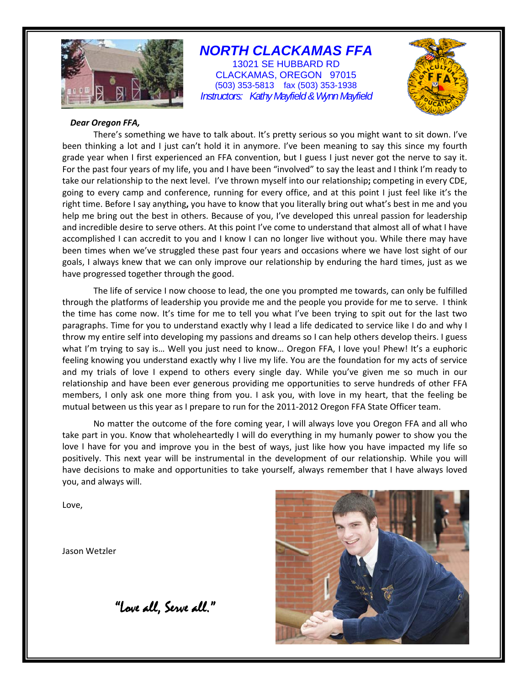

# *NORTH CLACKAMAS FFA*

13021 SE HUBBARD RD CLACKAMAS, OREGON 97015 (503) 353-5813 fax (503) 353-1938 *Instructors: Kathy Mayfield & Wynn Mayfield* 



#### *Dear Oregon FFA,*

There's something we have to talk about. It's pretty serious so you might want to sit down. I've been thinking a lot and I just can't hold it in anymore. I've been meaning to say this since my fourth grade year when I first experienced an FFA convention, but I guess I just never got the nerve to say it. For the past four years of my life, you and I have been "involved" to say the least and I think I'm ready to take our relationship to the next level. I've thrown myself into our relationship**;** competing in every CDE, going to every camp and conference, running for every office, and at this point I just feel like it's the right time. Before I say anything**,** you have to know that you literally bring out what's best in me and you help me bring out the best in others. Because of you, I've developed this unreal passion for leadership and incredible desire to serve others. At this point I've come to understand that almost all of what I have accomplished I can accredit to you and I know I can no longer live without you. While there may have been times when we've struggled these past four years and occasions where we have lost sight of our goals, I always knew that we can only improve our relationship by enduring the hard times, just as we have progressed together through the good.

The life of service I now choose to lead, the one you prompted me towards, can only be fulfilled through the platforms of leadership you provide me and the people you provide for me to serve. I think the time has come now. It's time for me to tell you what I've been trying to spit out for the last two paragraphs. Time for you to understand exactly why I lead a life dedicated to service like I do and why I throw my entire self into developing my passions and dreams so I can help others develop theirs. I guess what I'm trying to say is… Well you just need to know… Oregon FFA, I love you! Phew! It's a euphoric feeling knowing you understand exactly why I live my life. You are the foundation for my acts of service and my trials of love I expend to others every single day. While you've given me so much in our relationship and have been ever generous providing me opportunities to serve hundreds of other FFA members, I only ask one more thing from you. I ask you, with love in my heart, that the feeling be mutual between us this year as I prepare to run for the 2011-2012 Oregon FFA State Officer team.

No matter the outcome of the fore coming year, I will always love you Oregon FFA and all who take part in you. Know that wholeheartedly I will do everything in my humanly power to show you the love I have for you and improve you in the best of ways, just like how you have impacted my life so positively. This next year will be instrumental in the development of our relationship. While you will have decisions to make and opportunities to take yourself, always remember that I have always loved you, and always will.

Love,

Jason Wetzler

"Love all, Serve all."